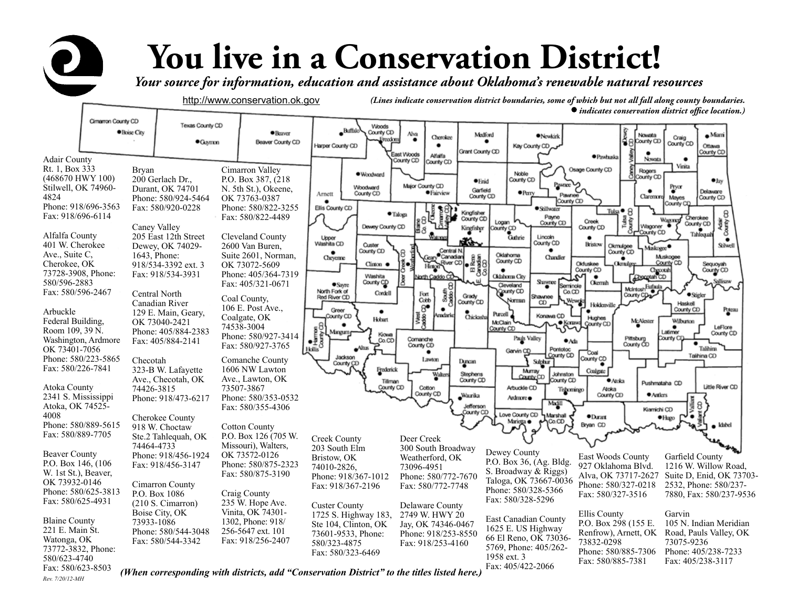## **You live in a Conservation District!**

*Your source for information, education and assistance about Oklahoma's renewable natural resources* 

http://www.conservation.ok.gov *(Lines indicate conservation district boundaries, some of which but not all fall along county boundaries. indicates conservation district office location.)* 



P